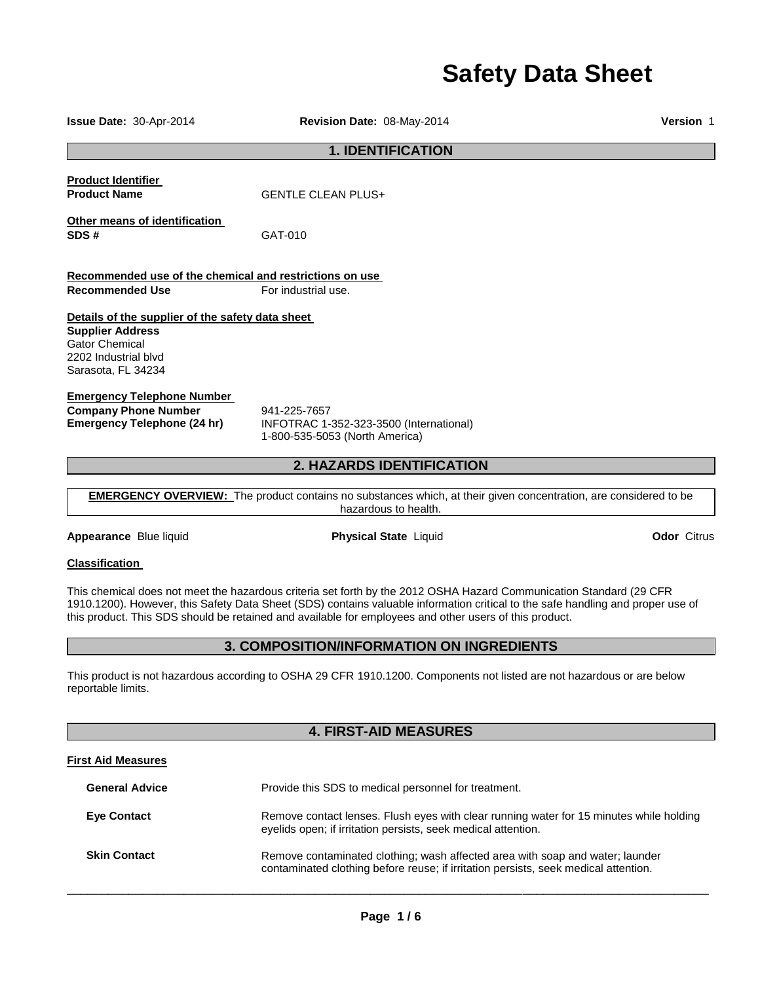# **Safety Data Sheet**

**1. IDENTIFICATION Product Identifier Product Name GENTLE CLEAN PLUS**+ **Other means of identification SDS #** GAT-010 **Recommended use of the chemical and restrictions on use Recommended Use For industrial use. Details of the supplier of the safety data sheet Supplier Address** Gator Chemical 2202 Industrial blvd Sarasota, FL 34234 **Emergency Telephone Number Company Phone Number** 941-225-7657<br>**Emergency Telephone (24 hr)** INFOTRAC 1-**Emergency Telephone (24 hr)** INFOTRAC 1-352-323-3500 (International) 1-800-535-5053 (North America) **2. HAZARDS IDENTIFICATION EMERGENCY OVERVIEW:** The product contains no substances which, at their given concentration, are considered to be hazardous to health. **Appearance** Blue liquid **Physical State** Liquid **Odor** Citrus **Classification**  This chemical does not meet the hazardous criteria set forth by the 2012 OSHA Hazard Communication Standard (29 CFR 1910.1200). However, this Safety Data Sheet (SDS) contains valuable information critical to the safe handling and proper use of this product. This SDS should be retained and available for employees and other users of this product. **3. COMPOSITION/INFORMATION ON INGREDIENTS**  This product is not hazardous according to OSHA 29 CFR 1910.1200. Components not listed are not hazardous or are below reportable limits. **4. FIRST-AID MEASURES First Aid Measures**

**Issue Date:** 30-Apr-2014 **Revision Date:** 08-May-2014 **Version** 1

| <b>General Advice</b> | Provide this SDS to medical personnel for treatment.                                                                                                                 |
|-----------------------|----------------------------------------------------------------------------------------------------------------------------------------------------------------------|
| <b>Eye Contact</b>    | Remove contact lenses. Flush eyes with clear running water for 15 minutes while holding<br>eyelids open; if irritation persists, seek medical attention.             |
| <b>Skin Contact</b>   | Remove contaminated clothing; wash affected area with soap and water; launder<br>contaminated clothing before reuse; if irritation persists, seek medical attention. |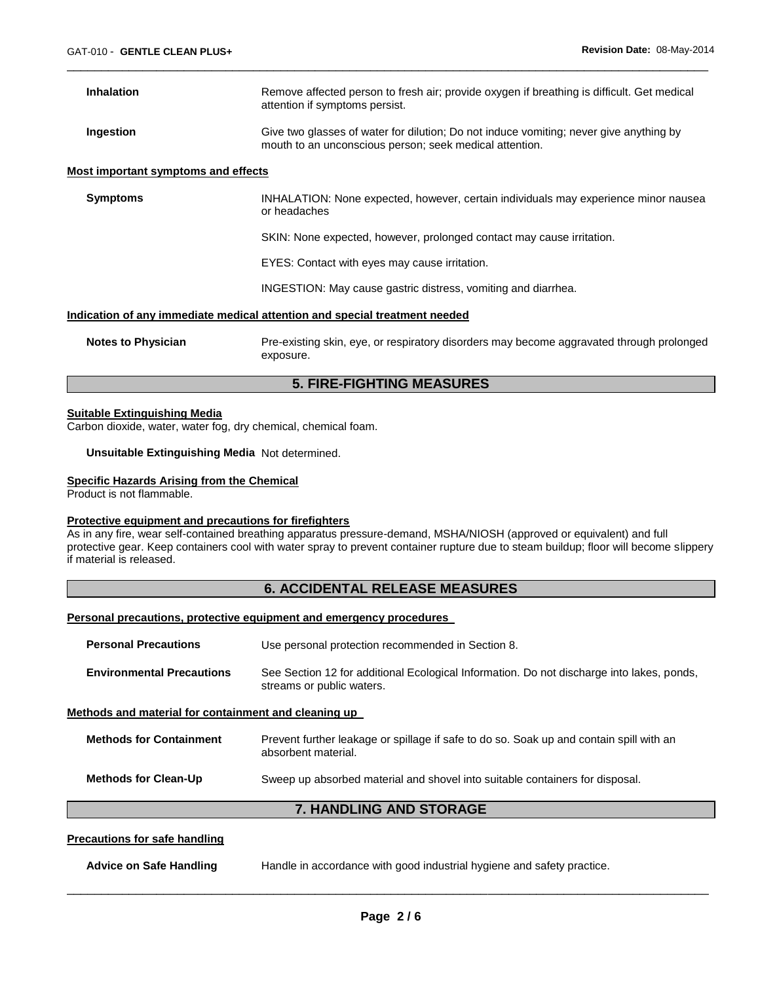| <b>Inhalation</b>                                                                 | Remove affected person to fresh air; provide oxygen if breathing is difficult. Get medical<br>attention if symptoms persist.                      |  |
|-----------------------------------------------------------------------------------|---------------------------------------------------------------------------------------------------------------------------------------------------|--|
| Ingestion                                                                         | Give two glasses of water for dilution; Do not induce vomiting; never give anything by<br>mouth to an unconscious person; seek medical attention. |  |
| Most important symptoms and effects                                               |                                                                                                                                                   |  |
| <b>Symptoms</b>                                                                   | INHALATION: None expected, however, certain individuals may experience minor nausea<br>or headaches                                               |  |
|                                                                                   | SKIN: None expected, however, prolonged contact may cause irritation.                                                                             |  |
|                                                                                   | EYES: Contact with eyes may cause irritation.                                                                                                     |  |
|                                                                                   | INGESTION: May cause gastric distress, vomiting and diarrhea.                                                                                     |  |
| <u>Indication of any immediate medical attention and special treatment needed</u> |                                                                                                                                                   |  |
| <b>Notes to Physician</b>                                                         | Pre-existing skin, eye, or respiratory disorders may become aggravated through prolonged<br>exposure.                                             |  |

\_\_\_\_\_\_\_\_\_\_\_\_\_\_\_\_\_\_\_\_\_\_\_\_\_\_\_\_\_\_\_\_\_\_\_\_\_\_\_\_\_\_\_\_\_\_\_\_\_\_\_\_\_\_\_\_\_\_\_\_\_\_\_\_\_\_\_\_\_\_\_\_\_\_\_\_\_\_\_\_\_\_\_\_\_\_\_\_\_\_\_\_\_

## **5. FIRE-FIGHTING MEASURES**

#### **Suitable Extinguishing Media**

Carbon dioxide, water, water fog, dry chemical, chemical foam.

**Unsuitable Extinguishing Media** Not determined.

#### **Specific Hazards Arising from the Chemical**

Product is not flammable.

#### **Protective equipment and precautions for firefighters**

As in any fire, wear self-contained breathing apparatus pressure-demand, MSHA/NIOSH (approved or equivalent) and full protective gear. Keep containers cool with water spray to prevent container rupture due to steam buildup; floor will become slippery if material is released.

## **6. ACCIDENTAL RELEASE MEASURES**

#### **Personal precautions, protective equipment and emergency procedures**

| <b>Personal Precautions</b>                          | Use personal protection recommended in Section 8.                                                                      |  |
|------------------------------------------------------|------------------------------------------------------------------------------------------------------------------------|--|
| <b>Environmental Precautions</b>                     | See Section 12 for additional Ecological Information. Do not discharge into lakes, ponds,<br>streams or public waters. |  |
| Methods and material for containment and cleaning up |                                                                                                                        |  |
| <b>Methods for Containment</b>                       | Prevent further leakage or spillage if safe to do so. Soak up and contain spill with an<br>absorbent material.         |  |
| <b>Methods for Clean-Up</b>                          | Sweep up absorbed material and shovel into suitable containers for disposal.                                           |  |
| <b>7. HANDLING AND STORAGE</b>                       |                                                                                                                        |  |
| Dreacutiona for acto hondling                        |                                                                                                                        |  |

#### **Precautions for safe handling**

| <b>Advice on Safe Handling</b> | Handle in accordance with good industrial hygiene and safety practice. |  |
|--------------------------------|------------------------------------------------------------------------|--|
|                                |                                                                        |  |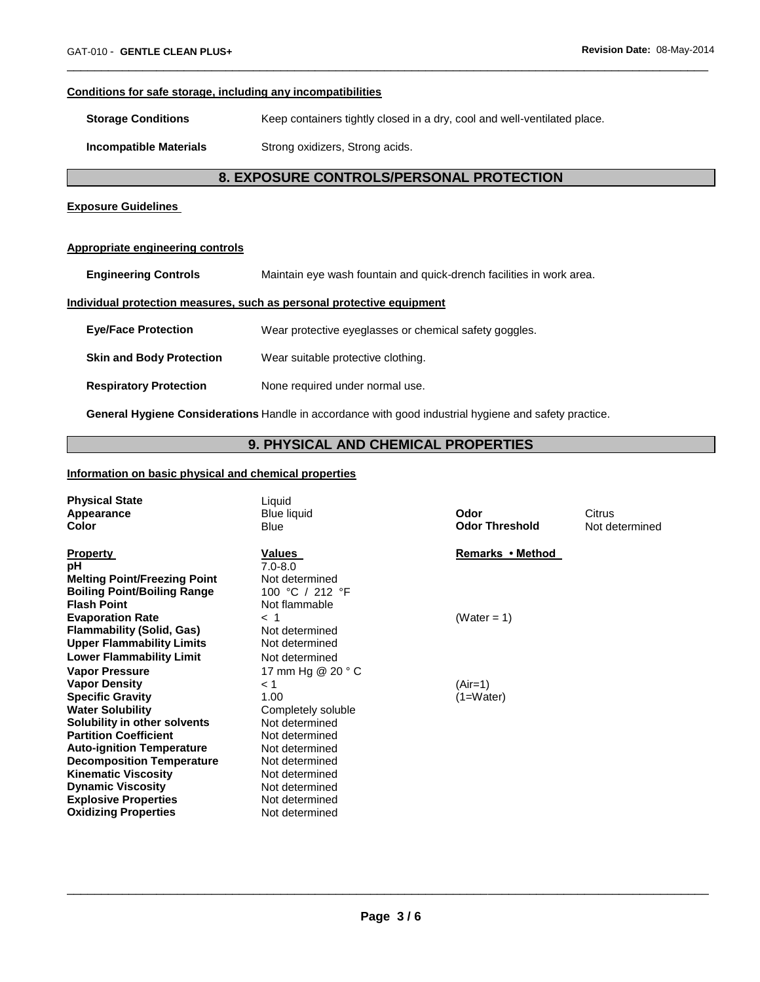#### **Conditions for safe storage, including any incompatibilities**

**Storage Conditions Keep containers tightly closed in a dry, cool and well-ventilated place.** 

**Incompatible Materials Strong oxidizers, Strong acids.** 

## **8. EXPOSURE CONTROLS/PERSONAL PROTECTION**

\_\_\_\_\_\_\_\_\_\_\_\_\_\_\_\_\_\_\_\_\_\_\_\_\_\_\_\_\_\_\_\_\_\_\_\_\_\_\_\_\_\_\_\_\_\_\_\_\_\_\_\_\_\_\_\_\_\_\_\_\_\_\_\_\_\_\_\_\_\_\_\_\_\_\_\_\_\_\_\_\_\_\_\_\_\_\_\_\_\_\_\_\_

#### **Exposure Guidelines**

#### **Appropriate engineering controls**

**Engineering Controls** Maintain eye wash fountain and quick-drench facilities in work area.

#### **Individual protection measures, such as personal protective equipment**

| <b>Eye/Face Protection</b>      | Wear protective eyeglasses or chemical safety goggles. |
|---------------------------------|--------------------------------------------------------|
| <b>Skin and Body Protection</b> | Wear suitable protective clothing.                     |
| <b>Respiratory Protection</b>   | None required under normal use.                        |

**General Hygiene Considerations** Handle in accordance with good industrial hygiene and safety practice.

## **9. PHYSICAL AND CHEMICAL PROPERTIES**

#### **Information on basic physical and chemical properties**

| <b>Physical State</b><br>Appearance<br>Color                                                                                                                                                                                 | Liquid<br><b>Blue liquid</b><br><b>Blue</b>                                                                                | Odor<br><b>Odor Threshold</b> | Citrus<br>Not determined |
|------------------------------------------------------------------------------------------------------------------------------------------------------------------------------------------------------------------------------|----------------------------------------------------------------------------------------------------------------------------|-------------------------------|--------------------------|
| <b>Property</b><br>рH<br><b>Melting Point/Freezing Point</b><br><b>Boiling Point/Boiling Range</b><br><b>Flash Point</b>                                                                                                     | Values<br>$7.0 - 8.0$<br>Not determined<br>100 °C / 212 °F<br>Not flammable                                                | Remarks • Method              |                          |
| <b>Evaporation Rate</b><br><b>Flammability (Solid, Gas)</b><br><b>Upper Flammability Limits</b><br><b>Lower Flammability Limit</b>                                                                                           | $<$ 1<br>Not determined<br>Not determined<br>Not determined                                                                | (Water = 1)                   |                          |
| <b>Vapor Pressure</b><br><b>Vapor Density</b><br><b>Specific Gravity</b><br><b>Water Solubility</b><br>Solubility in other solvents                                                                                          | 17 mm Hg @ 20 ° C<br>< 1<br>1.00<br>Completely soluble<br>Not determined                                                   | $(Air=1)$<br>$(1=Water)$      |                          |
| <b>Partition Coefficient</b><br><b>Auto-ignition Temperature</b><br><b>Decomposition Temperature</b><br><b>Kinematic Viscosity</b><br><b>Dynamic Viscosity</b><br><b>Explosive Properties</b><br><b>Oxidizing Properties</b> | Not determined<br>Not determined<br>Not determined<br>Not determined<br>Not determined<br>Not determined<br>Not determined |                               |                          |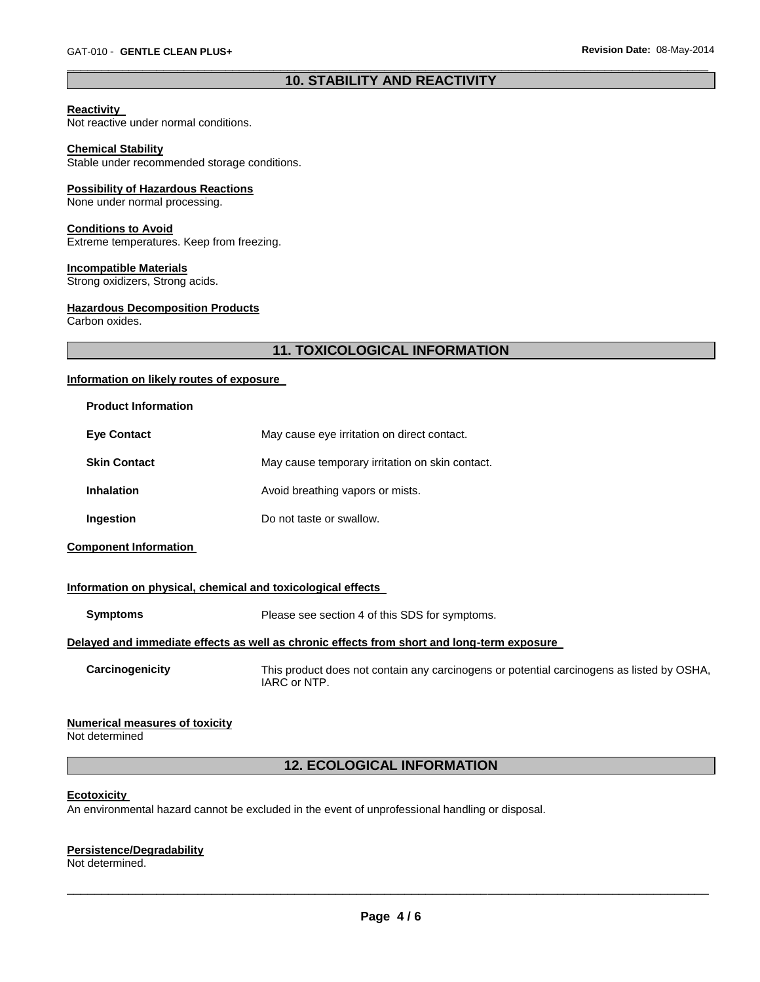## \_\_\_\_\_\_\_\_\_\_\_\_\_\_\_\_\_\_\_\_\_\_\_\_\_\_\_\_\_\_\_\_\_\_\_\_\_\_\_\_\_\_\_\_\_\_\_\_\_\_\_\_\_\_\_\_\_\_\_\_\_\_\_\_\_\_\_\_\_\_\_\_\_\_\_\_\_\_\_\_\_\_\_\_\_\_\_\_\_\_\_\_\_ **10. STABILITY AND REACTIVITY**

#### **Reactivity**

Not reactive under normal conditions.

#### **Chemical Stability**

Stable under recommended storage conditions.

#### **Possibility of Hazardous Reactions**

None under normal processing.

#### **Conditions to Avoid**

Extreme temperatures. Keep from freezing.

#### **Incompatible Materials**

Strong oxidizers, Strong acids.

#### **Hazardous Decomposition Products**

Carbon oxides.

## **11. TOXICOLOGICAL INFORMATION**

#### **Information on likely routes of exposure**

| <b>Product Information</b> |                                                 |
|----------------------------|-------------------------------------------------|
| <b>Eve Contact</b>         | May cause eye irritation on direct contact.     |
| <b>Skin Contact</b>        | May cause temporary irritation on skin contact. |
| <b>Inhalation</b>          | Avoid breathing vapors or mists.                |
| Ingestion                  | Do not taste or swallow.                        |

**Component Information** 

#### **Information on physical, chemical and toxicological effects**

| Symptoms | Please see section 4 of this SDS for symptoms.                                                                 |
|----------|----------------------------------------------------------------------------------------------------------------|
|          | . In the International Property of the Contract of the Contract of the Contract of International Contract of t |

## **Delayed and immediate effects as well as chronic effects from short and long-term exposure**

**Carcinogenicity** This product does not contain any carcinogens or potential carcinogens as listed by OSHA, IARC or NTP.

#### **Numerical measures of toxicity**

Not determined

## **12. ECOLOGICAL INFORMATION**

#### **Ecotoxicity**

An environmental hazard cannot be excluded in the event of unprofessional handling or disposal.

## **Persistence/Degradability**

Not determined.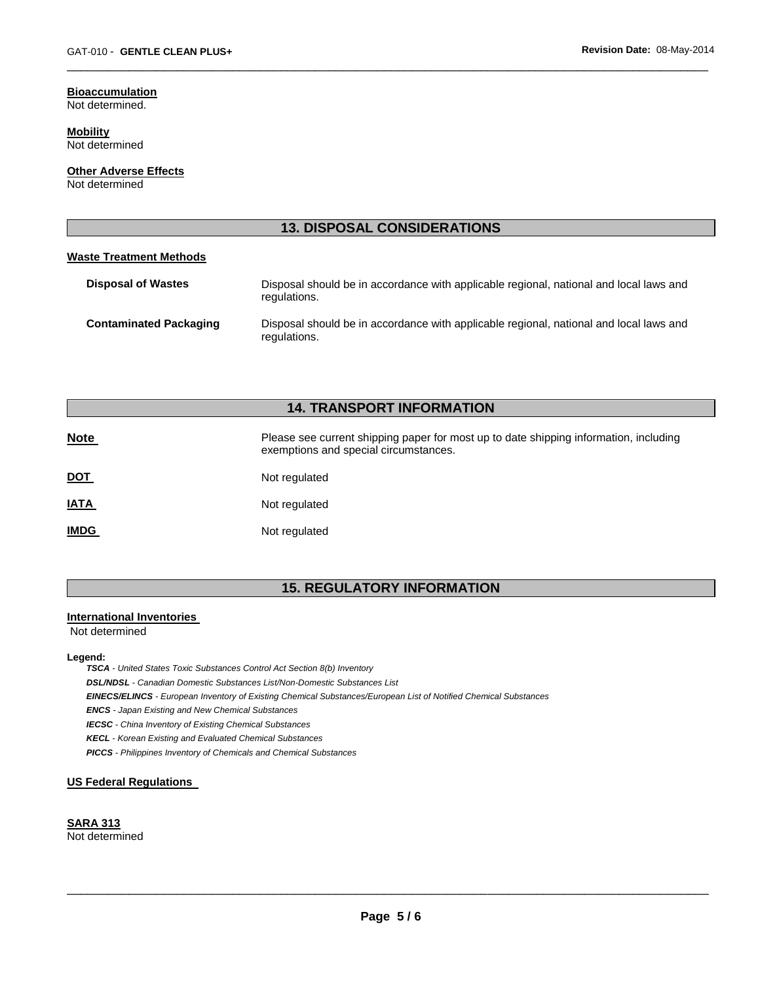## **Bioaccumulation**

Not determined.

**Mobility** Not determined

**Other Adverse Effects** Not determined

## **13. DISPOSAL CONSIDERATIONS**

\_\_\_\_\_\_\_\_\_\_\_\_\_\_\_\_\_\_\_\_\_\_\_\_\_\_\_\_\_\_\_\_\_\_\_\_\_\_\_\_\_\_\_\_\_\_\_\_\_\_\_\_\_\_\_\_\_\_\_\_\_\_\_\_\_\_\_\_\_\_\_\_\_\_\_\_\_\_\_\_\_\_\_\_\_\_\_\_\_\_\_\_\_

#### **Waste Treatment Methods**

| <b>Disposal of Wastes</b>     | Disposal should be in accordance with applicable regional, national and local laws and<br>regulations. |
|-------------------------------|--------------------------------------------------------------------------------------------------------|
| <b>Contaminated Packaging</b> | Disposal should be in accordance with applicable regional, national and local laws and<br>regulations. |

## **14. TRANSPORT INFORMATION**

| <b>Note</b> | Please see current shipping paper for most up to date shipping information, including<br>exemptions and special circumstances. |
|-------------|--------------------------------------------------------------------------------------------------------------------------------|
| <u>DOT</u>  | Not regulated                                                                                                                  |
| <u>IATA</u> | Not regulated                                                                                                                  |
| <u>IMDG</u> | Not regulated                                                                                                                  |

## **15. REGULATORY INFORMATION**

#### **International Inventories**

Not determined

#### **Legend:**

*TSCA - United States Toxic Substances Control Act Section 8(b) Inventory* 

*DSL/NDSL - Canadian Domestic Substances List/Non-Domestic Substances List* 

*EINECS/ELINCS - European Inventory of Existing Chemical Substances/European List of Notified Chemical Substances* 

*ENCS - Japan Existing and New Chemical Substances* 

*IECSC - China Inventory of Existing Chemical Substances* 

*KECL - Korean Existing and Evaluated Chemical Substances* 

*PICCS - Philippines Inventory of Chemicals and Chemical Substances* 

#### **US Federal Regulations**

#### **SARA 313** Not determined